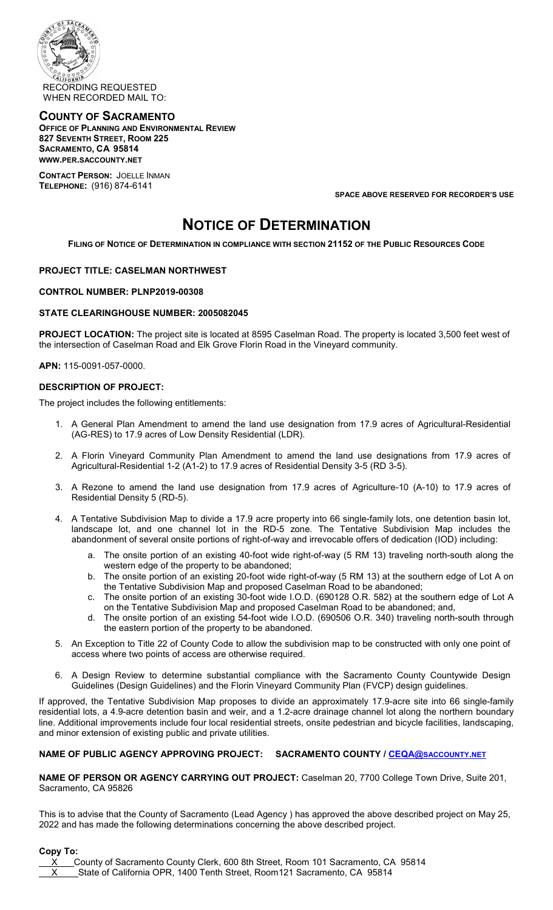

## **COUNTY OF SACRAMENTO OFFICE OF PLANNING AND ENVIRONMENTAL REVIEW 827 SEVENTH STREET, ROOM 225 SACRAMENTO, CA 95814 WWW.PER.SACCOUNTY.NET**

**CONTACT PERSON:** JOELLE INMAN **TELEPHONE:** (916) 874-6141

**SPACE ABOVE RESERVED FOR RECORDER'S USE**

# **NOTICE OF DETERMINATION**

**FILING OF NOTICE OF DETERMINATION IN COMPLIANCE WITH SECTION 21152 OF THE PUBLIC RESOURCES CODE**

## **PROJECT TITLE: CASELMAN NORTHWEST**

### **CONTROL NUMBER: PLNP2019-00308**

### **STATE CLEARINGHOUSE NUMBER: 2005082045**

**PROJECT LOCATION:** The project site is located at 8595 Caselman Road. The property is located 3,500 feet west of the intersection of Caselman Road and Elk Grove Florin Road in the Vineyard community.

**APN:** 115-0091-057-0000.

### **DESCRIPTION OF PROJECT:**

The project includes the following entitlements:

- 1. A General Plan Amendment to amend the land use designation from 17.9 acres of Agricultural-Residential (AG-RES) to 17.9 acres of Low Density Residential (LDR).
- 2. A Florin Vineyard Community Plan Amendment to amend the land use designations from 17.9 acres of Agricultural-Residential 1-2 (A1-2) to 17.9 acres of Residential Density 3-5 (RD 3-5).
- 3. A Rezone to amend the land use designation from 17.9 acres of Agriculture-10 (A-10) to 17.9 acres of Residential Density 5 (RD-5).
- 4. A Tentative Subdivision Map to divide a 17.9 acre property into 66 single-family lots, one detention basin lot, landscape lot, and one channel lot in the RD-5 zone. The Tentative Subdivision Map includes the abandonment of several onsite portions of right-of-way and irrevocable offers of dedication (IOD) including:
	- a. The onsite portion of an existing 40-foot wide right-of-way (5 RM 13) traveling north-south along the western edge of the property to be abandoned;
	- b. The onsite portion of an existing 20-foot wide right-of-way (5 RM 13) at the southern edge of Lot A on the Tentative Subdivision Map and proposed Caselman Road to be abandoned;
	- c. The onsite portion of an existing 30-foot wide I.O.D. (690128 O.R. 582) at the southern edge of Lot A on the Tentative Subdivision Map and proposed Caselman Road to be abandoned; and,
	- d. The onsite portion of an existing 54-foot wide I.O.D. (690506 O.R. 340) traveling north-south through the eastern portion of the property to be abandoned.
- 5. An Exception to Title 22 of County Code to allow the subdivision map to be constructed with only one point of access where two points of access are otherwise required.
- 6. A Design Review to determine substantial compliance with the Sacramento County Countywide Design Guidelines (Design Guidelines) and the Florin Vineyard Community Plan (FVCP) design guidelines.

If approved, the Tentative Subdivision Map proposes to divide an approximately 17.9-acre site into 66 single-family residential lots, a 4.9-acre detention basin and weir, and a 1.2-acre drainage channel lot along the northern boundary line. Additional improvements include four local residential streets, onsite pedestrian and bicycle facilities, landscaping, and minor extension of existing public and private utilities.

## **NAME OF PUBLIC AGENCY APPROVING PROJECT: SACRAMENTO COUNTY / [CEQA@SACCOUNTY.NET](mailto:CEQA@saccounty.net)**

**NAME OF PERSON OR AGENCY CARRYING OUT PROJECT:** Caselman 20, 7700 College Town Drive, Suite 201, Sacramento, CA 95826

This is to advise that the County of Sacramento (Lead Agency ) has approved the above described project on May 25, 2022 and has made the following determinations concerning the above described project.

#### **Copy To:**